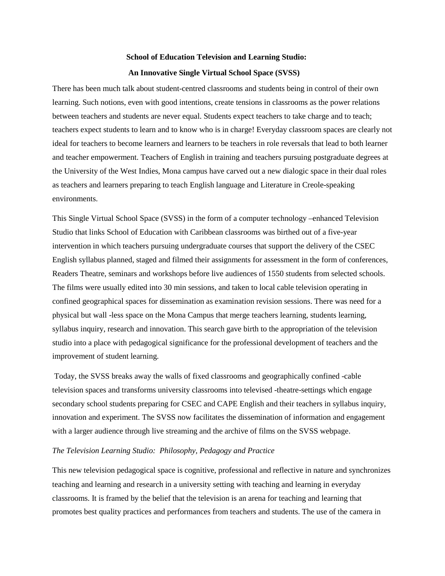# **School of Education Television and Learning Studio: An Innovative Single Virtual School Space (SVSS)**

There has been much talk about student-centred classrooms and students being in control of their own learning. Such notions, even with good intentions, create tensions in classrooms as the power relations between teachers and students are never equal. Students expect teachers to take charge and to teach; teachers expect students to learn and to know who is in charge! Everyday classroom spaces are clearly not ideal for teachers to become learners and learners to be teachers in role reversals that lead to both learner and teacher empowerment. Teachers of English in training and teachers pursuing postgraduate degrees at the University of the West Indies, Mona campus have carved out a new dialogic space in their dual roles as teachers and learners preparing to teach English language and Literature in Creole-speaking environments.

This Single Virtual School Space (SVSS) in the form of a computer technology –enhanced Television Studio that links School of Education with Caribbean classrooms was birthed out of a five-year intervention in which teachers pursuing undergraduate courses that support the delivery of the CSEC English syllabus planned, staged and filmed their assignments for assessment in the form of conferences, Readers Theatre, seminars and workshops before live audiences of 1550 students from selected schools. The films were usually edited into 30 min sessions, and taken to local cable television operating in confined geographical spaces for dissemination as examination revision sessions. There was need for a physical but wall -less space on the Mona Campus that merge teachers learning, students learning, syllabus inquiry, research and innovation. This search gave birth to the appropriation of the television studio into a place with pedagogical significance for the professional development of teachers and the improvement of student learning.

Today, the SVSS breaks away the walls of fixed classrooms and geographically confined -cable television spaces and transforms university classrooms into televised -theatre-settings which engage secondary school students preparing for CSEC and CAPE English and their teachers in syllabus inquiry, innovation and experiment. The SVSS now facilitates the dissemination of information and engagement with a larger audience through live streaming and the archive of films on the SVSS webpage.

#### *The Television Learning Studio: Philosophy, Pedagogy and Practice*

This new television pedagogical space is cognitive, professional and reflective in nature and synchronizes teaching and learning and research in a university setting with teaching and learning in everyday classrooms. It is framed by the belief that the television is an arena for teaching and learning that promotes best quality practices and performances from teachers and students. The use of the camera in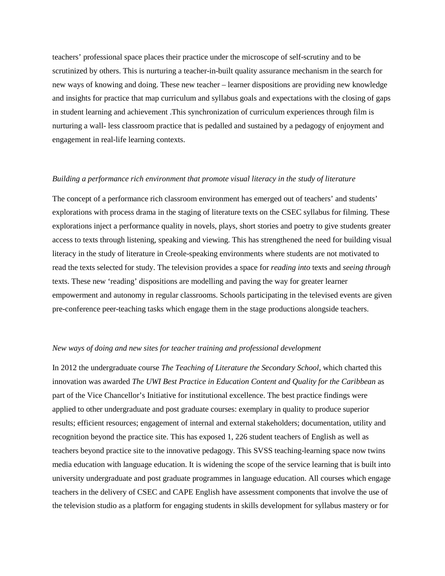teachers' professional space places their practice under the microscope of self-scrutiny and to be scrutinized by others. This is nurturing a teacher-in-built quality assurance mechanism in the search for new ways of knowing and doing. These new teacher – learner dispositions are providing new knowledge and insights for practice that map curriculum and syllabus goals and expectations with the closing of gaps in student learning and achievement .This synchronization of curriculum experiences through film is nurturing a wall- less classroom practice that is pedalled and sustained by a pedagogy of enjoyment and engagement in real-life learning contexts.

#### *Building a performance rich environment that promote visual literacy in the study of literature*

The concept of a performance rich classroom environment has emerged out of teachers' and students' explorations with process drama in the staging of literature texts on the CSEC syllabus for filming. These explorations inject a performance quality in novels, plays, short stories and poetry to give students greater access to texts through listening, speaking and viewing. This has strengthened the need for building visual literacy in the study of literature in Creole-speaking environments where students are not motivated to read the texts selected for study. The television provides a space for *reading into* texts and *seeing through* texts. These new 'reading' dispositions are modelling and paving the way for greater learner empowerment and autonomy in regular classrooms. Schools participating in the televised events are given pre-conference peer-teaching tasks which engage them in the stage productions alongside teachers.

## *New ways of doing and new sites for teacher training and professional development*

In 2012 the undergraduate course *The Teaching of Literature the Secondary School*, which charted this innovation was awarded *The UWI Best Practice in Education Content and Quality for the Caribbean* as part of the Vice Chancellor's Initiative for institutional excellence. The best practice findings were applied to other undergraduate and post graduate courses: exemplary in quality to produce superior results; efficient resources; engagement of internal and external stakeholders; documentation, utility and recognition beyond the practice site. This has exposed 1, 226 student teachers of English as well as teachers beyond practice site to the innovative pedagogy. This SVSS teaching-learning space now twins media education with language education. It is widening the scope of the service learning that is built into university undergraduate and post graduate programmes in language education. All courses which engage teachers in the delivery of CSEC and CAPE English have assessment components that involve the use of the television studio as a platform for engaging students in skills development for syllabus mastery or for